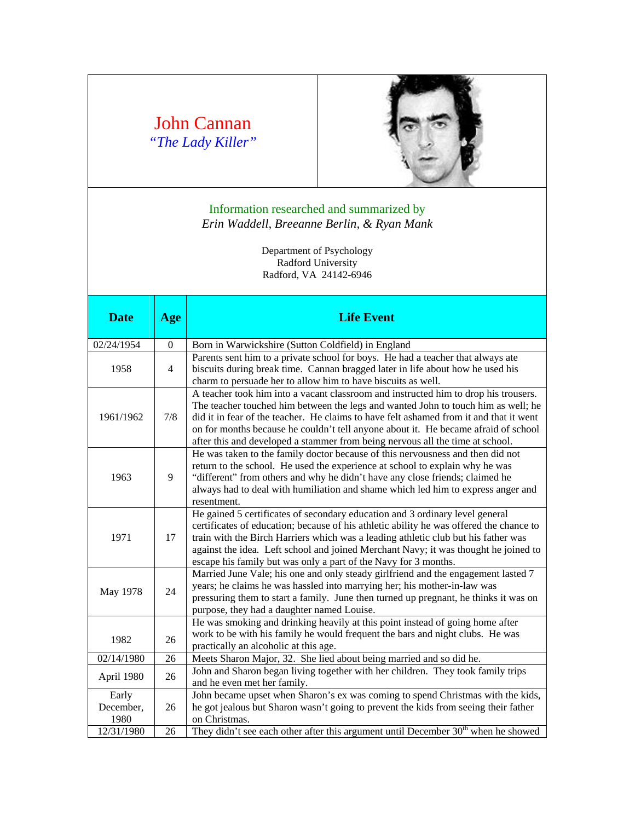## John Cannan *"The Lady Killer"*



## Information researched and summarized by *Erin Waddell, Breeanne Berlin, & Ryan Mank*

Department of Psychology Radford University Radford, VA 24142-6946

| <b>Date</b>                | Age            | <b>Life Event</b>                                                                                                                                                                                                                                                                                                                                                                                                                         |  |  |
|----------------------------|----------------|-------------------------------------------------------------------------------------------------------------------------------------------------------------------------------------------------------------------------------------------------------------------------------------------------------------------------------------------------------------------------------------------------------------------------------------------|--|--|
| 02/24/1954                 | $\theta$       | Born in Warwickshire (Sutton Coldfield) in England                                                                                                                                                                                                                                                                                                                                                                                        |  |  |
| 1958                       | $\overline{4}$ | Parents sent him to a private school for boys. He had a teacher that always ate<br>biscuits during break time. Cannan bragged later in life about how he used his<br>charm to persuade her to allow him to have biscuits as well.                                                                                                                                                                                                         |  |  |
| 1961/1962                  | 7/8            | A teacher took him into a vacant classroom and instructed him to drop his trousers.<br>The teacher touched him between the legs and wanted John to touch him as well; he<br>did it in fear of the teacher. He claims to have felt ashamed from it and that it went<br>on for months because he couldn't tell anyone about it. He became afraid of school<br>after this and developed a stammer from being nervous all the time at school. |  |  |
| 1963                       | 9              | He was taken to the family doctor because of this nervousness and then did not<br>return to the school. He used the experience at school to explain why he was<br>"different" from others and why he didn't have any close friends; claimed he<br>always had to deal with humiliation and shame which led him to express anger and<br>resentment.                                                                                         |  |  |
| 1971                       | 17             | He gained 5 certificates of secondary education and 3 ordinary level general<br>certificates of education; because of his athletic ability he was offered the chance to<br>train with the Birch Harriers which was a leading athletic club but his father was<br>against the idea. Left school and joined Merchant Navy; it was thought he joined to<br>escape his family but was only a part of the Navy for 3 months.                   |  |  |
| May 1978                   | 24             | Married June Vale; his one and only steady girlfriend and the engagement lasted 7<br>years; he claims he was hassled into marrying her; his mother-in-law was<br>pressuring them to start a family. June then turned up pregnant, he thinks it was on<br>purpose, they had a daughter named Louise.                                                                                                                                       |  |  |
| 1982                       | 26             | He was smoking and drinking heavily at this point instead of going home after<br>work to be with his family he would frequent the bars and night clubs. He was<br>practically an alcoholic at this age.                                                                                                                                                                                                                                   |  |  |
| 02/14/1980                 | 26             | Meets Sharon Major, 32. She lied about being married and so did he.                                                                                                                                                                                                                                                                                                                                                                       |  |  |
| April 1980                 | 26             | John and Sharon began living together with her children. They took family trips<br>and he even met her family.                                                                                                                                                                                                                                                                                                                            |  |  |
| Early<br>December,<br>1980 | 26             | John became upset when Sharon's ex was coming to spend Christmas with the kids,<br>he got jealous but Sharon wasn't going to prevent the kids from seeing their father<br>on Christmas.                                                                                                                                                                                                                                                   |  |  |
| 12/31/1980                 | 26             | They didn't see each other after this argument until December $30th$ when he showed                                                                                                                                                                                                                                                                                                                                                       |  |  |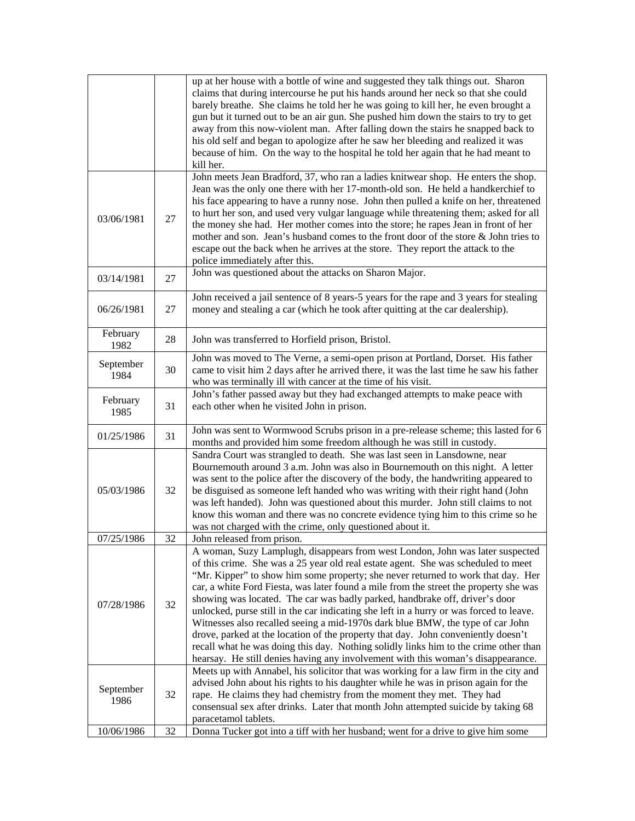|                   |    | up at her house with a bottle of wine and suggested they talk things out. Sharon<br>claims that during intercourse he put his hands around her neck so that she could<br>barely breathe. She claims he told her he was going to kill her, he even brought a<br>gun but it turned out to be an air gun. She pushed him down the stairs to try to get<br>away from this now-violent man. After falling down the stairs he snapped back to<br>his old self and began to apologize after he saw her bleeding and realized it was<br>because of him. On the way to the hospital he told her again that he had meant to<br>kill her.                                                                                                                                                                                                                                               |  |
|-------------------|----|------------------------------------------------------------------------------------------------------------------------------------------------------------------------------------------------------------------------------------------------------------------------------------------------------------------------------------------------------------------------------------------------------------------------------------------------------------------------------------------------------------------------------------------------------------------------------------------------------------------------------------------------------------------------------------------------------------------------------------------------------------------------------------------------------------------------------------------------------------------------------|--|
| 03/06/1981        | 27 | John meets Jean Bradford, 37, who ran a ladies knitwear shop. He enters the shop.<br>Jean was the only one there with her 17-month-old son. He held a handkerchief to<br>his face appearing to have a runny nose. John then pulled a knife on her, threatened<br>to hurt her son, and used very vulgar language while threatening them; asked for all<br>the money she had. Her mother comes into the store; he rapes Jean in front of her<br>mother and son. Jean's husband comes to the front door of the store & John tries to<br>escape out the back when he arrives at the store. They report the attack to the<br>police immediately after this.                                                                                                                                                                                                                       |  |
| 03/14/1981        | 27 | John was questioned about the attacks on Sharon Major.                                                                                                                                                                                                                                                                                                                                                                                                                                                                                                                                                                                                                                                                                                                                                                                                                       |  |
| 06/26/1981        | 27 | John received a jail sentence of 8 years-5 years for the rape and 3 years for stealing<br>money and stealing a car (which he took after quitting at the car dealership).                                                                                                                                                                                                                                                                                                                                                                                                                                                                                                                                                                                                                                                                                                     |  |
| February<br>1982  | 28 | John was transferred to Horfield prison, Bristol.                                                                                                                                                                                                                                                                                                                                                                                                                                                                                                                                                                                                                                                                                                                                                                                                                            |  |
| September<br>1984 | 30 | John was moved to The Verne, a semi-open prison at Portland, Dorset. His father<br>came to visit him 2 days after he arrived there, it was the last time he saw his father<br>who was terminally ill with cancer at the time of his visit.                                                                                                                                                                                                                                                                                                                                                                                                                                                                                                                                                                                                                                   |  |
| February<br>1985  | 31 | John's father passed away but they had exchanged attempts to make peace with<br>each other when he visited John in prison.                                                                                                                                                                                                                                                                                                                                                                                                                                                                                                                                                                                                                                                                                                                                                   |  |
| 01/25/1986        | 31 | John was sent to Wormwood Scrubs prison in a pre-release scheme; this lasted for 6<br>months and provided him some freedom although he was still in custody.                                                                                                                                                                                                                                                                                                                                                                                                                                                                                                                                                                                                                                                                                                                 |  |
| 05/03/1986        | 32 | Sandra Court was strangled to death. She was last seen in Lansdowne, near<br>Bournemouth around 3 a.m. John was also in Bournemouth on this night. A letter<br>was sent to the police after the discovery of the body, the handwriting appeared to<br>be disguised as someone left handed who was writing with their right hand (John<br>was left handed). John was questioned about this murder. John still claims to not<br>know this woman and there was no concrete evidence tying him to this crime so he<br>was not charged with the crime, only questioned about it.                                                                                                                                                                                                                                                                                                  |  |
| 07/25/1986        | 32 | John released from prison.                                                                                                                                                                                                                                                                                                                                                                                                                                                                                                                                                                                                                                                                                                                                                                                                                                                   |  |
| 07/28/1986        | 32 | A woman, Suzy Lamplugh, disappears from west London, John was later suspected<br>of this crime. She was a 25 year old real estate agent. She was scheduled to meet<br>"Mr. Kipper" to show him some property; she never returned to work that day. Her<br>car, a white Ford Fiesta, was later found a mile from the street the property she was<br>showing was located. The car was badly parked, handbrake off, driver's door<br>unlocked, purse still in the car indicating she left in a hurry or was forced to leave.<br>Witnesses also recalled seeing a mid-1970s dark blue BMW, the type of car John<br>drove, parked at the location of the property that day. John conveniently doesn't<br>recall what he was doing this day. Nothing solidly links him to the crime other than<br>hearsay. He still denies having any involvement with this woman's disappearance. |  |
| September<br>1986 | 32 | Meets up with Annabel, his solicitor that was working for a law firm in the city and<br>advised John about his rights to his daughter while he was in prison again for the<br>rape. He claims they had chemistry from the moment they met. They had<br>consensual sex after drinks. Later that month John attempted suicide by taking 68<br>paracetamol tablets.                                                                                                                                                                                                                                                                                                                                                                                                                                                                                                             |  |
| 10/06/1986        | 32 | Donna Tucker got into a tiff with her husband; went for a drive to give him some                                                                                                                                                                                                                                                                                                                                                                                                                                                                                                                                                                                                                                                                                                                                                                                             |  |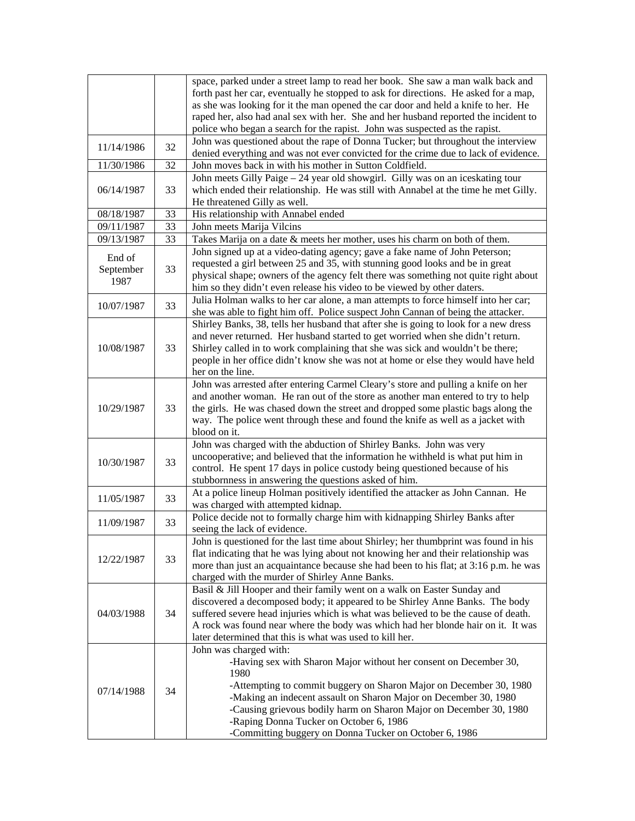|                             |    | space, parked under a street lamp to read her book. She saw a man walk back and<br>forth past her car, eventually he stopped to ask for directions. He asked for a map,<br>as she was looking for it the man opened the car door and held a knife to her. He<br>raped her, also had anal sex with her. She and her husband reported the incident to                                                                      |  |  |
|-----------------------------|----|--------------------------------------------------------------------------------------------------------------------------------------------------------------------------------------------------------------------------------------------------------------------------------------------------------------------------------------------------------------------------------------------------------------------------|--|--|
|                             |    | police who began a search for the rapist. John was suspected as the rapist.<br>John was questioned about the rape of Donna Tucker; but throughout the interview                                                                                                                                                                                                                                                          |  |  |
| 11/14/1986                  | 32 | denied everything and was not ever convicted for the crime due to lack of evidence.                                                                                                                                                                                                                                                                                                                                      |  |  |
| 11/30/1986                  | 32 | John moves back in with his mother in Sutton Coldfield.                                                                                                                                                                                                                                                                                                                                                                  |  |  |
| 06/14/1987                  | 33 | John meets Gilly Paige - 24 year old showgirl. Gilly was on an iceskating tour<br>which ended their relationship. He was still with Annabel at the time he met Gilly.<br>He threatened Gilly as well.                                                                                                                                                                                                                    |  |  |
| 08/18/1987                  | 33 | His relationship with Annabel ended                                                                                                                                                                                                                                                                                                                                                                                      |  |  |
| 09/11/1987                  | 33 | John meets Marija Vilcins                                                                                                                                                                                                                                                                                                                                                                                                |  |  |
| 09/13/1987                  | 33 | Takes Marija on a date & meets her mother, uses his charm on both of them.                                                                                                                                                                                                                                                                                                                                               |  |  |
| End of<br>September<br>1987 | 33 | John signed up at a video-dating agency; gave a fake name of John Peterson;<br>requested a girl between 25 and 35, with stunning good looks and be in great<br>physical shape; owners of the agency felt there was something not quite right about<br>him so they didn't even release his video to be viewed by other daters.                                                                                            |  |  |
| 10/07/1987                  | 33 | Julia Holman walks to her car alone, a man attempts to force himself into her car;<br>she was able to fight him off. Police suspect John Cannan of being the attacker.                                                                                                                                                                                                                                                   |  |  |
| 10/08/1987                  | 33 | Shirley Banks, 38, tells her husband that after she is going to look for a new dress<br>and never returned. Her husband started to get worried when she didn't return.<br>Shirley called in to work complaining that she was sick and wouldn't be there;<br>people in her office didn't know she was not at home or else they would have held<br>her on the line.                                                        |  |  |
| 10/29/1987                  | 33 | John was arrested after entering Carmel Cleary's store and pulling a knife on her<br>and another woman. He ran out of the store as another man entered to try to help<br>the girls. He was chased down the street and dropped some plastic bags along the<br>way. The police went through these and found the knife as well as a jacket with<br>blood on it.                                                             |  |  |
| 10/30/1987                  | 33 | John was charged with the abduction of Shirley Banks. John was very<br>uncooperative; and believed that the information he withheld is what put him in<br>control. He spent 17 days in police custody being questioned because of his<br>stubbornness in answering the questions asked of him.                                                                                                                           |  |  |
| 11/05/1987                  | 33 | At a police lineup Holman positively identified the attacker as John Cannan. He<br>was charged with attempted kidnap.                                                                                                                                                                                                                                                                                                    |  |  |
| 11/09/1987                  | 33 | Police decide not to formally charge him with kidnapping Shirley Banks after<br>seeing the lack of evidence.                                                                                                                                                                                                                                                                                                             |  |  |
| 12/22/1987                  | 33 | John is questioned for the last time about Shirley; her thumbprint was found in his<br>flat indicating that he was lying about not knowing her and their relationship was<br>more than just an acquaintance because she had been to his flat; at 3:16 p.m. he was<br>charged with the murder of Shirley Anne Banks.                                                                                                      |  |  |
| 04/03/1988                  | 34 | Basil & Jill Hooper and their family went on a walk on Easter Sunday and<br>discovered a decomposed body; it appeared to be Shirley Anne Banks. The body<br>suffered severe head injuries which is what was believed to be the cause of death.<br>A rock was found near where the body was which had her blonde hair on it. It was<br>later determined that this is what was used to kill her.                           |  |  |
| 07/14/1988                  | 34 | John was charged with:<br>-Having sex with Sharon Major without her consent on December 30,<br>1980<br>-Attempting to commit buggery on Sharon Major on December 30, 1980<br>-Making an indecent assault on Sharon Major on December 30, 1980<br>-Causing grievous bodily harm on Sharon Major on December 30, 1980<br>-Raping Donna Tucker on October 6, 1986<br>-Committing buggery on Donna Tucker on October 6, 1986 |  |  |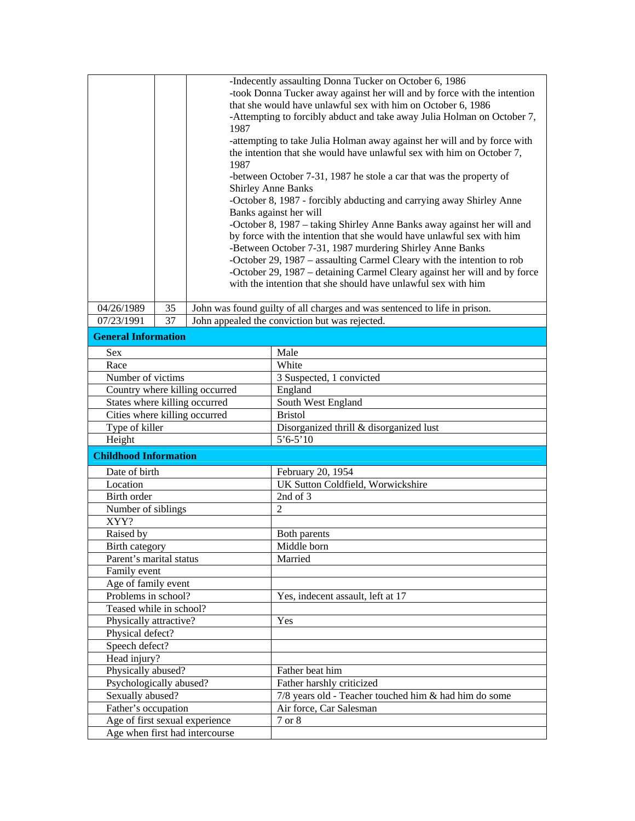|                                                                  |    |                                | -Indecently assaulting Donna Tucker on October 6, 1986                                                                                          |
|------------------------------------------------------------------|----|--------------------------------|-------------------------------------------------------------------------------------------------------------------------------------------------|
|                                                                  |    |                                | -took Donna Tucker away against her will and by force with the intention                                                                        |
|                                                                  |    |                                | that she would have unlawful sex with him on October 6, 1986                                                                                    |
| 1987                                                             |    |                                | -Attempting to forcibly abduct and take away Julia Holman on October 7,                                                                         |
|                                                                  |    |                                | -attempting to take Julia Holman away against her will and by force with                                                                        |
|                                                                  |    |                                | the intention that she would have unlawful sex with him on October 7,                                                                           |
|                                                                  |    | 1987                           |                                                                                                                                                 |
|                                                                  |    |                                | -between October 7-31, 1987 he stole a car that was the property of                                                                             |
|                                                                  |    |                                | <b>Shirley Anne Banks</b>                                                                                                                       |
|                                                                  |    |                                | -October 8, 1987 - forcibly abducting and carrying away Shirley Anne                                                                            |
|                                                                  |    |                                | Banks against her will                                                                                                                          |
|                                                                  |    |                                | -October 8, 1987 – taking Shirley Anne Banks away against her will and<br>by force with the intention that she would have unlawful sex with him |
|                                                                  |    |                                | -Between October 7-31, 1987 murdering Shirley Anne Banks                                                                                        |
|                                                                  |    |                                | -October 29, 1987 – assaulting Carmel Cleary with the intention to rob                                                                          |
|                                                                  |    |                                | -October 29, 1987 - detaining Carmel Cleary against her will and by force                                                                       |
|                                                                  |    |                                | with the intention that she should have unlawful sex with him                                                                                   |
|                                                                  |    |                                |                                                                                                                                                 |
| 04/26/1989                                                       | 35 |                                | John was found guilty of all charges and was sentenced to life in prison.                                                                       |
| 07/23/1991                                                       | 37 |                                | John appealed the conviction but was rejected.                                                                                                  |
| <b>General Information</b>                                       |    |                                |                                                                                                                                                 |
| Sex                                                              |    |                                | Male                                                                                                                                            |
| Race                                                             |    |                                | White                                                                                                                                           |
| Number of victims                                                |    |                                | 3 Suspected, 1 convicted                                                                                                                        |
|                                                                  |    | Country where killing occurred | England                                                                                                                                         |
| States where killing occurred                                    |    |                                | South West England                                                                                                                              |
| Cities where killing occurred                                    |    |                                | <b>Bristol</b>                                                                                                                                  |
| Type of killer                                                   |    |                                | Disorganized thrill & disorganized lust                                                                                                         |
| Height                                                           |    |                                | $5'6 - 5'10$                                                                                                                                    |
| <b>Childhood Information</b>                                     |    |                                |                                                                                                                                                 |
| Date of birth                                                    |    |                                | February 20, 1954                                                                                                                               |
| Location                                                         |    |                                | UK Sutton Coldfield, Worwickshire                                                                                                               |
| Birth order                                                      |    |                                | 2nd of 3                                                                                                                                        |
| Number of siblings                                               |    |                                | $\overline{2}$                                                                                                                                  |
| XYY?                                                             |    |                                |                                                                                                                                                 |
| Raised by                                                        |    |                                | Both parents                                                                                                                                    |
| Birth category                                                   |    |                                | Middle born                                                                                                                                     |
| Parent's marital status                                          |    |                                | Married                                                                                                                                         |
| Family event                                                     |    |                                |                                                                                                                                                 |
| Age of family event                                              |    |                                |                                                                                                                                                 |
| Problems in school?                                              |    |                                | Yes, indecent assault, left at 17                                                                                                               |
| Teased while in school?                                          |    |                                |                                                                                                                                                 |
| Physically attractive?                                           |    |                                | Yes                                                                                                                                             |
| Physical defect?                                                 |    |                                |                                                                                                                                                 |
| Speech defect?                                                   |    |                                |                                                                                                                                                 |
| Head injury?                                                     |    |                                |                                                                                                                                                 |
| Physically abused?                                               |    |                                | Father beat him                                                                                                                                 |
| Psychologically abused?                                          |    |                                | Father harshly criticized                                                                                                                       |
| Sexually abused?                                                 |    |                                | 7/8 years old - Teacher touched him & had him do some                                                                                           |
| Father's occupation                                              |    |                                | Air force, Car Salesman                                                                                                                         |
| Age of first sexual experience<br>Age when first had intercourse |    |                                | 7 or 8                                                                                                                                          |
|                                                                  |    |                                |                                                                                                                                                 |
|                                                                  |    |                                |                                                                                                                                                 |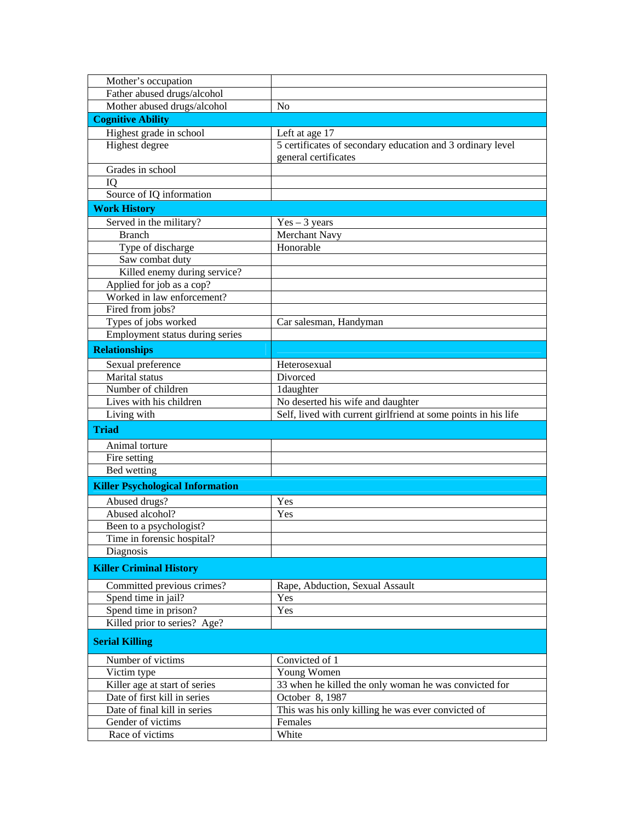| Mother's occupation                     |                                                                |
|-----------------------------------------|----------------------------------------------------------------|
| Father abused drugs/alcohol             |                                                                |
| Mother abused drugs/alcohol             | N <sub>0</sub>                                                 |
| <b>Cognitive Ability</b>                |                                                                |
| Highest grade in school                 | Left at age 17                                                 |
| Highest degree                          | 5 certificates of secondary education and 3 ordinary level     |
|                                         | general certificates                                           |
| Grades in school                        |                                                                |
| IQ                                      |                                                                |
| Source of IQ information                |                                                                |
| <b>Work History</b>                     |                                                                |
| Served in the military?                 | $Yes - 3 years$                                                |
| <b>Branch</b>                           | Merchant Navy                                                  |
| Type of discharge                       | Honorable                                                      |
| Saw combat duty                         |                                                                |
| Killed enemy during service?            |                                                                |
| Applied for job as a cop?               |                                                                |
| Worked in law enforcement?              |                                                                |
| Fired from jobs?                        |                                                                |
| Types of jobs worked                    | Car salesman, Handyman                                         |
| Employment status during series         |                                                                |
| <b>Relationships</b>                    |                                                                |
| Sexual preference                       | Heterosexual                                                   |
| Marital status                          | Divorced                                                       |
| Number of children                      | 1daughter                                                      |
| Lives with his children                 | No deserted his wife and daughter                              |
| Living with                             | Self, lived with current girlfriend at some points in his life |
|                                         |                                                                |
| <b>Triad</b>                            |                                                                |
| Animal torture                          |                                                                |
| Fire setting                            |                                                                |
| Bed wetting                             |                                                                |
| <b>Killer Psychological Information</b> |                                                                |
| Abused drugs?                           | Yes                                                            |
| Abused alcohol?                         | Yes                                                            |
| Been to a psychologist?                 |                                                                |
| Time in forensic hospital?              |                                                                |
| Diagnosis                               |                                                                |
| <b>Killer Criminal History</b>          |                                                                |
|                                         |                                                                |
| Committed previous crimes?              | Rape, Abduction, Sexual Assault                                |
| Spend time in jail?                     | Yes                                                            |
| Spend time in prison?                   | Yes                                                            |
| Killed prior to series? Age?            |                                                                |
| <b>Serial Killing</b>                   |                                                                |
| Number of victims                       | Convicted of 1                                                 |
| Victim type                             | Young Women                                                    |
| Killer age at start of series           | 33 when he killed the only woman he was convicted for          |
| Date of first kill in series            | October 8, 1987                                                |
| Date of final kill in series            | This was his only killing he was ever convicted of             |
| Gender of victims                       |                                                                |
| Race of victims                         | Females<br>White                                               |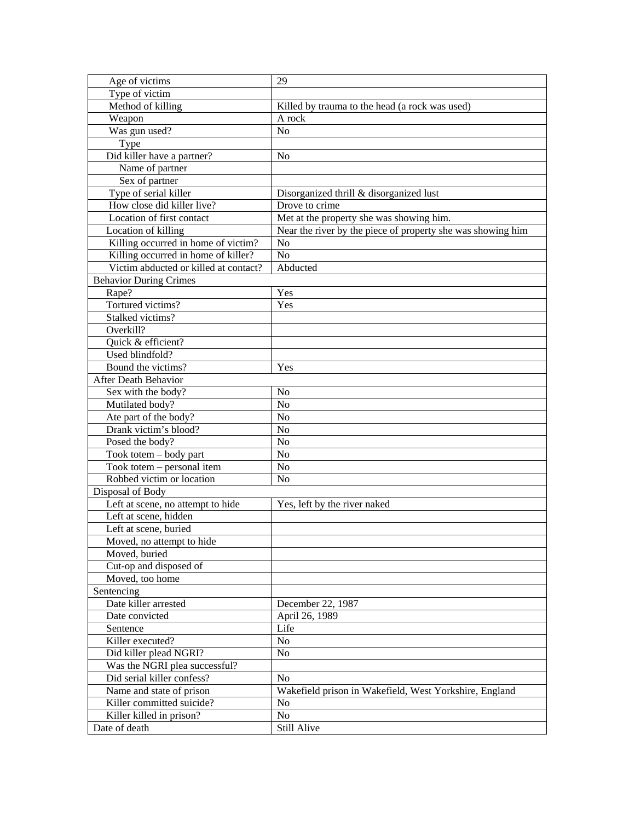| Age of victims                        | 29                                                          |
|---------------------------------------|-------------------------------------------------------------|
| Type of victim                        |                                                             |
| Method of killing                     | Killed by trauma to the head (a rock was used)              |
| Weapon                                | A rock                                                      |
| Was gun used?                         | No                                                          |
| Type                                  |                                                             |
| Did killer have a partner?            | N <sub>0</sub>                                              |
| Name of partner                       |                                                             |
| Sex of partner                        |                                                             |
| Type of serial killer                 | Disorganized thrill & disorganized lust                     |
| How close did killer live?            | Drove to crime                                              |
| Location of first contact             | Met at the property she was showing him.                    |
| Location of killing                   | Near the river by the piece of property she was showing him |
| Killing occurred in home of victim?   | N <sub>o</sub>                                              |
| Killing occurred in home of killer?   | N <sub>o</sub>                                              |
| Victim abducted or killed at contact? | Abducted                                                    |
| <b>Behavior During Crimes</b>         |                                                             |
| Rape?                                 | Yes                                                         |
| Tortured victims?                     | Yes                                                         |
| Stalked victims?                      |                                                             |
| Overkill?                             |                                                             |
| Quick & efficient?                    |                                                             |
| Used blindfold?                       |                                                             |
| Bound the victims?                    | Yes                                                         |
| After Death Behavior                  |                                                             |
| Sex with the body?                    | N <sub>0</sub>                                              |
| Mutilated body?                       | N <sub>o</sub>                                              |
| Ate part of the body?                 | N <sub>o</sub>                                              |
| Drank victim's blood?                 | N <sub>o</sub>                                              |
| Posed the body?                       | N <sub>o</sub>                                              |
| Took totem - body part                | N <sub>o</sub>                                              |
| Took totem – personal item            | N <sub>o</sub>                                              |
| Robbed victim or location             | N <sub>0</sub>                                              |
| Disposal of Body                      |                                                             |
| Left at scene, no attempt to hide     | Yes, left by the river naked                                |
| Left at scene, hidden                 |                                                             |
| Left at scene, buried                 |                                                             |
| Moved, no attempt to hide             |                                                             |
| Moved, buried                         |                                                             |
| Cut-op and disposed of                |                                                             |
| Moved, too home                       |                                                             |
| Sentencing                            |                                                             |
| Date killer arrested                  | December 22, 1987                                           |
| Date convicted                        | April 26, 1989                                              |
| Sentence                              | Life                                                        |
| Killer executed?                      | N <sub>o</sub>                                              |
| Did killer plead NGRI?                | N <sub>o</sub>                                              |
| Was the NGRI plea successful?         |                                                             |
| Did serial killer confess?            | N <sub>0</sub>                                              |
| Name and state of prison              | Wakefield prison in Wakefield, West Yorkshire, England      |
| Killer committed suicide?             | N <sub>0</sub>                                              |
| Killer killed in prison?              | N <sub>o</sub>                                              |
| Date of death                         | Still Alive                                                 |